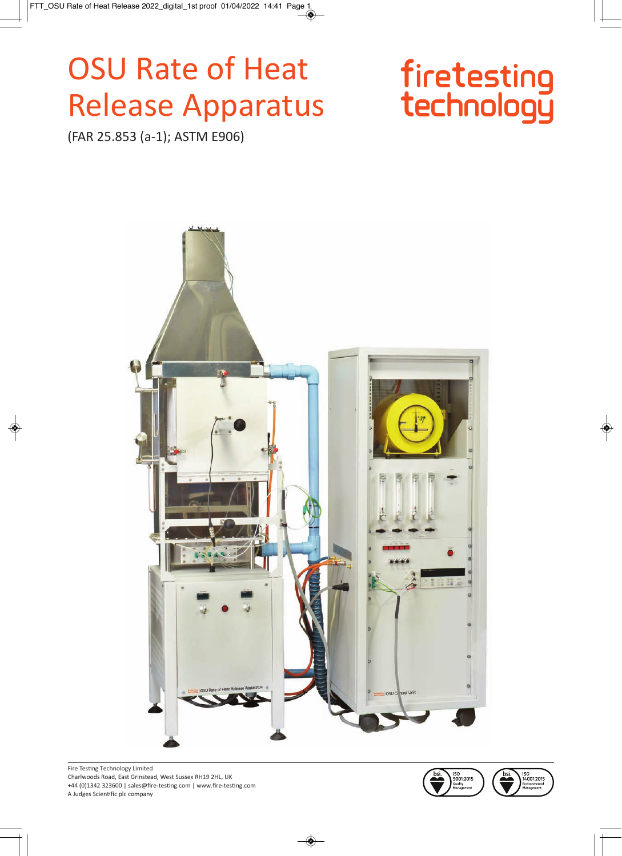# **OSU Rate of Heat Release Apparatus**

# firetesting<br>technology

(FAR 25.853 (a-1); ASTM E906)



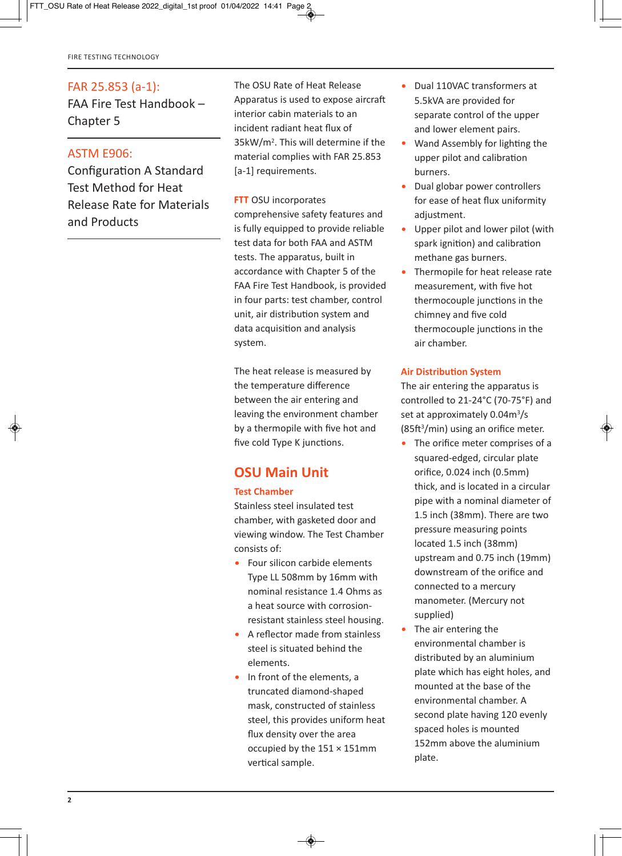#### FAR 25.853 (a-1):

FAA Fire Test Handbook – Chapter 5

#### ASTM E906:

Configuration A Standard Test Method for Heat Release Rate for Materials and Products

The OSU Rate of Heat Release Apparatus is used to expose aircraft interior cabin materials to an incident radiant heat flux of 35kW/m2. This will determine if the material complies with FAR 25.853 [a-1] requirements.

#### **FTT** OSU incorporates

comprehensive safety features and is fully equipped to provide reliable test data for both FAA and ASTM tests. The apparatus, built in accordance with Chapter 5 of the FAA Fire Test Handbook, is provided in four parts: test chamber, control unit, air distribution system and data acquisition and analysis system.

The heat release is measured by the temperature difference between the air entering and leaving the environment chamber by a thermopile with five hot and five cold Type K junctions.

### **OSU Main Unit**

#### **Test Chamber**

Stainless steel insulated test chamber, with gasketed door and viewing window. The Test Chamber consists of:

- Four silicon carbide elements Type LL 508mm by 16mm with nominal resistance 1.4 Ohms as a heat source with corrosionresistant stainless steel housing.
- A reflector made from stainless steel is situated behind the elements.
- In front of the elements, a truncated diamond-shaped mask, constructed of stainless steel, this provides uniform heat flux density over the area occupied by the 151 × 151mm vertical sample.
- Dual 110VAC transformers at 5.5kVA are provided for separate control of the upper and lower element pairs.
- Wand Assembly for lighting the upper pilot and calibration burners.
- Dual globar power controllers for ease of heat flux uniformity adjustment.
- Upper pilot and lower pilot (with spark ignition) and calibration methane gas burners.
- Thermopile for heat release rate measurement, with five hot thermocouple junctions in the chimney and five cold thermocouple junctions in the air chamber.

#### **Air Distribution System**

The air entering the apparatus is controlled to  $21-24^{\circ}$ C (70-75 $^{\circ}$ F) and set at approximately 0.04m<sup>3</sup>/s  $(85ft<sup>3</sup>/min)$  using an orifice meter.

- The orifice meter comprises of a squared-edged, circular plate orifice, 0.024 inch (0.5mm) thick, and is located in a circular pipe with a nominal diameter of 1.5 inch (38mm). There are two pressure measuring points located 1.5 inch (38mm) upstream and 0.75 inch (19mm) downstream of the orifice and connected to a mercury manometer. (Mercury not supplied)
- The air entering the environmental chamber is distributed by an aluminium plate which has eight holes, and mounted at the base of the environmental chamber. A second plate having 120 evenly spaced holes is mounted 152mm above the aluminium plate.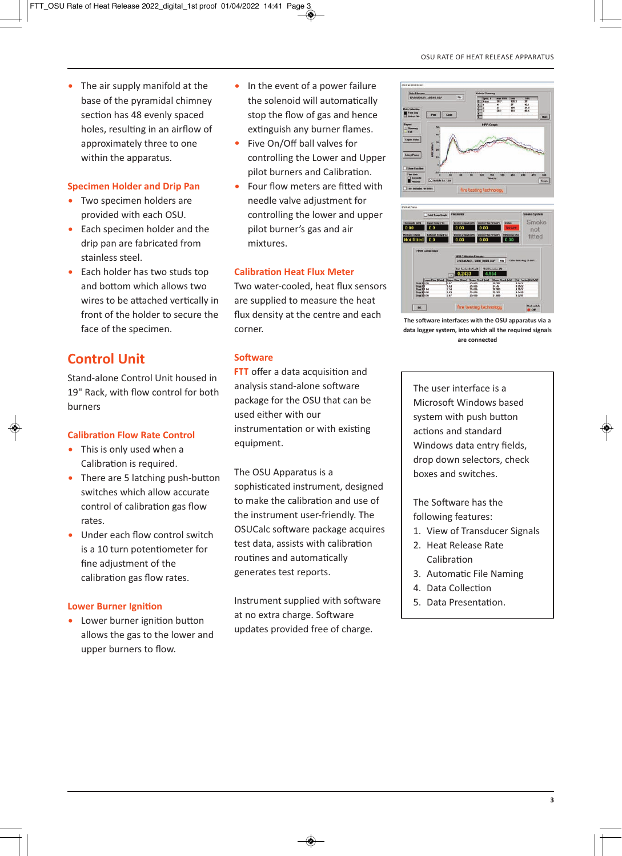• The air supply manifold at the base of the pyramidal chimney section has 48 evenly spaced holes, resulting in an airflow of approximately three to one within the apparatus.

#### **Specimen Holder and Drip Pan**

- Two specimen holders are provided with each OSU.
- Each specimen holder and the drip pan are fabricated from stainless steel.
- Each holder has two studs top and bottom which allows two wires to be attached vertically in front of the holder to secure the face of the specimen.

# **Control Unit**

Stand-alone Control Unit housed in 19" Rack, with flow control for both burners

#### **Calibration Flow Rate Control**

- This is only used when a Calibration is required.
- $\bullet$  There are 5 latching push-button switches which allow accurate control of calibration gas flow rates.
- Under each flow control switch is a 10 turn potentiometer for fine adjustment of the calibration gas flow rates.

#### **Lower Burner Ignition**

• Lower burner ignition button allows the gas to the lower and upper burners to flow.

- In the event of a power failure the solenoid will automatically stop the flow of gas and hence extinguish any burner flames.
- Five On/Off ball valves for controlling the Lower and Upper pilot burners and Calibration.
- Four flow meters are fitted with needle valve adjustment for controlling the lower and upper pilot burner's gas and air mixtures.

#### **Calibration Heat Flux Meter**

Two water-cooled, heat flux sensors are supplied to measure the heat flux density at the centre and each corner.

#### **Software**

**FTT** offer a data acquisition and analysis stand-alone software package for the OSU that can be used either with our instrumentation or with existing equipment.

The OSU Apparatus is a sophisticated instrument, designed to make the calibration and use of the instrument user-friendly. The OSUCalc software package acquires test data, assists with calibration routines and automatically generates test reports.

Instrument supplied with software at no extra charge. Software updates provided free of charge.





**The software interfaces with the OSU apparatus via a data logger system, into which all the required signals are connected**

The user interface is a Microsoft Windows based system with push button actions and standard Windows data entry fields, drop down selectors, check boxes and switches.

The Software has the following features:

- 1. View of Transducer Signals
- 2. Heat Release Rate Calibration
- 3. Automatic File Naming
- 4. Data Collection
- 5. Data Presentation.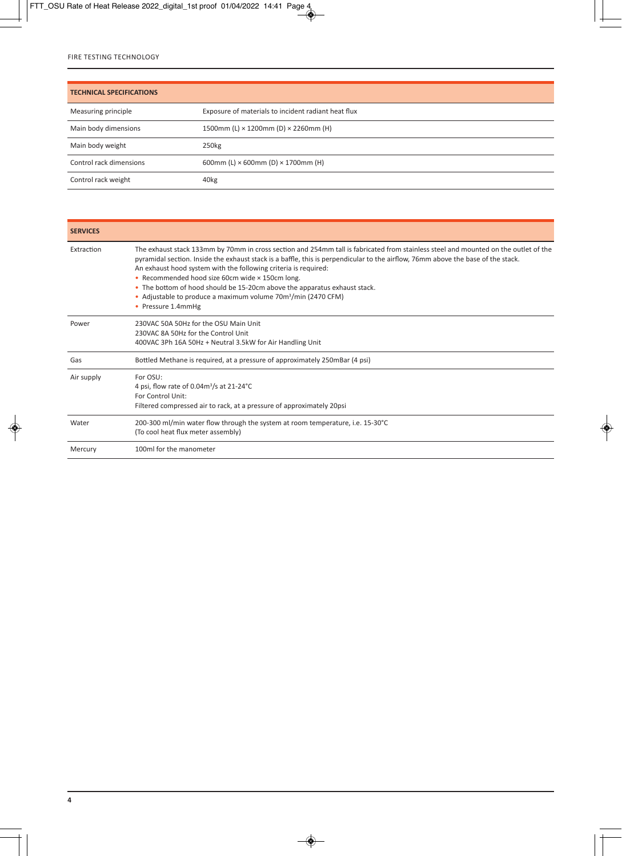| <b>TECHNICAL SPECIFICATIONS</b> |                                                     |
|---------------------------------|-----------------------------------------------------|
| Measuring principle             | Exposure of materials to incident radiant heat flux |
| Main body dimensions            | 1500mm (L) $\times$ 1200mm (D) $\times$ 2260mm (H)  |
| Main body weight                | 250 <sub>kg</sub>                                   |
| Control rack dimensions         | 600mm (L) $\times$ 600mm (D) $\times$ 1700mm (H)    |
| Control rack weight             | 40 <sub>kg</sub>                                    |

| <b>SERVICES</b> |                                                                                                                                                                                                                                                                                                                                                                                                                                                                                                                                                                               |
|-----------------|-------------------------------------------------------------------------------------------------------------------------------------------------------------------------------------------------------------------------------------------------------------------------------------------------------------------------------------------------------------------------------------------------------------------------------------------------------------------------------------------------------------------------------------------------------------------------------|
| Extraction      | The exhaust stack 133mm by 70mm in cross section and 254mm tall is fabricated from stainless steel and mounted on the outlet of the<br>pyramidal section. Inside the exhaust stack is a baffle, this is perpendicular to the airflow, 76mm above the base of the stack.<br>An exhaust hood system with the following criteria is required:<br>• Recommended hood size 60cm wide × 150cm long.<br>• The bottom of hood should be 15-20cm above the apparatus exhaust stack.<br>• Adjustable to produce a maximum volume 70m <sup>3</sup> /min (2470 CFM)<br>• Pressure 1.4mmHg |
| Power           | 230VAC 50A 50Hz for the OSU Main Unit<br>230VAC 8A 50Hz for the Control Unit<br>400VAC 3Ph 16A 50Hz + Neutral 3.5kW for Air Handling Unit                                                                                                                                                                                                                                                                                                                                                                                                                                     |
| Gas             | Bottled Methane is required, at a pressure of approximately 250mBar (4 psi)                                                                                                                                                                                                                                                                                                                                                                                                                                                                                                   |
| Air supply      | For OSU:<br>4 psi, flow rate of $0.04m^3/s$ at $21-24°C$<br>For Control Unit:<br>Filtered compressed air to rack, at a pressure of approximately 20psi                                                                                                                                                                                                                                                                                                                                                                                                                        |
| Water           | 200-300 ml/min water flow through the system at room temperature, i.e. 15-30°C<br>(To cool heat flux meter assembly)                                                                                                                                                                                                                                                                                                                                                                                                                                                          |
| Mercury         | 100ml for the manometer                                                                                                                                                                                                                                                                                                                                                                                                                                                                                                                                                       |